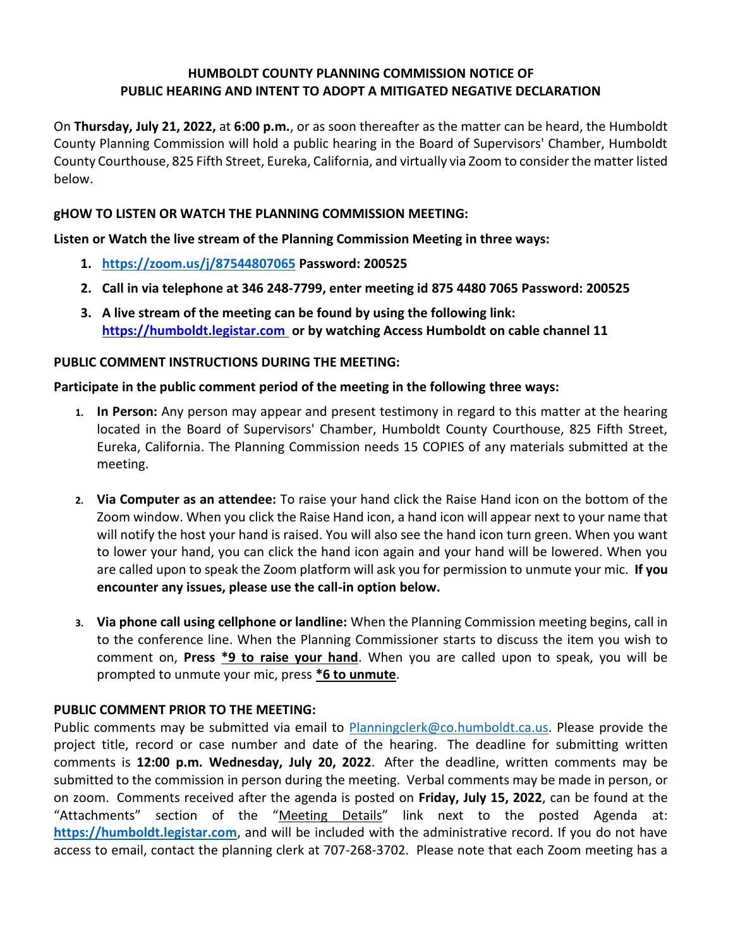## **HUMBOLDT COUNTY PLANNING COMMISSION NOTICE OF PUBLIC HEARING AND INTENT TO ADOPT A MITIGATED NEGATIVE DECLARATION**

On **Thursday, July 21, 2022,** at **6:00 p.m.**, or as soon thereafter as the matter can be heard, the Humboldt County Planning Commission will hold a public hearing in the Board of Supervisors' Chamber, Humboldt County Courthouse, 825 Fifth Street, Eureka, California, and virtually via Zoom to consider the matter listed below.

### **gHOW TO LISTEN OR WATCH THE PLANNING COMMISSION MEETING:**

**Listen or Watch the live stream of the Planning Commission Meeting in three ways:** 

- **1. <https://zoom.us/j/87544807065> Password: 200525**
- **2. Call in via telephone at 346 248-7799, enter meeting id 875 4480 7065 Password: 200525**
- **3. A live stream of the meeting can be found by using the following link: [https://humboldt.legistar.com](https://humboldt.legistar.com/) or by watching Access Humboldt on cable channel 11**

### **PUBLIC COMMENT INSTRUCTIONS DURING THE MEETING:**

### **Participate in the public comment period of the meeting in the following three ways:**

- **1. In Person:** Any person may appear and present testimony in regard to this matter at the hearing located in the Board of Supervisors' Chamber, Humboldt County Courthouse, 825 Fifth Street, Eureka, California. The Planning Commission needs 15 COPIES of any materials submitted at the meeting.
- **2. Via Computer as an attendee:** To raise your hand click the Raise Hand icon on the bottom of the Zoom window. When you click the Raise Hand icon, a hand icon will appear next to your name that will notify the host your hand is raised. You will also see the hand icon turn green. When you want to lower your hand, you can click the hand icon again and your hand will be lowered. When you are called upon to speak the Zoom platform will ask you for permission to unmute your mic. **If you encounter any issues, please use the call-in option below.**
- **3. Via phone call using cellphone or landline:** When the Planning Commission meeting begins, call in to the conference line. When the Planning Commissioner starts to discuss the item you wish to comment on, **Press \*9 to raise your hand**. When you are called upon to speak, you will be prompted to unmute your mic, press **\*6 to unmute**.

# **PUBLIC COMMENT PRIOR TO THE MEETING:**

Public comments may be submitted via email to [Planningclerk@co.humboldt.ca.us.](file://///all.co.humboldt.ca.us/plbl/Records/Planning%20Commission%20Master%20Directory/Agendas/2020/5.21.2020/Planningclerk@co.humboldt.ca.us%20) Please provide the project title, record or case number and date of the hearing. The deadline for submitting written comments is **12:00 p.m. Wednesday, July 20, 2022**. After the deadline, written comments may be submitted to the commission in person during the meeting. Verbal comments may be made in person, or on zoom. Comments received after the agenda is posted on **Friday, July 15, 2022**, can be found at the "Attachments" section of the "Meeting Details" link next to the posted Agenda at: **[https://humboldt.legistar.com](https://humboldt.legistar.com/)**, and will be included with the administrative record. If you do not have access to email, contact the planning clerk at 707-268-3702. Please note that each Zoom meeting has a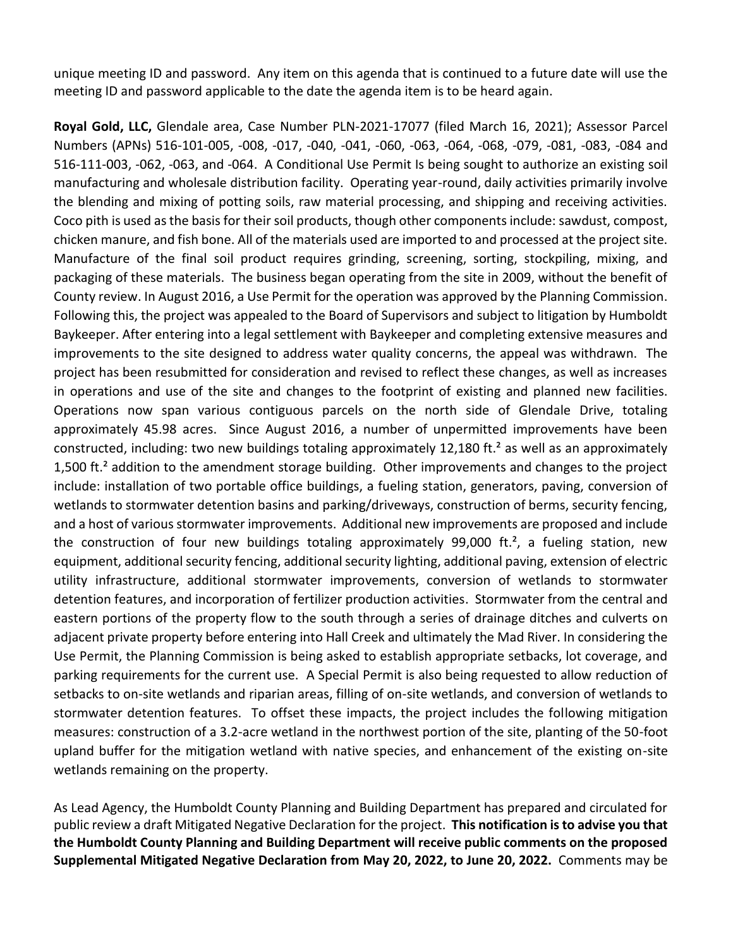unique meeting ID and password. Any item on this agenda that is continued to a future date will use the meeting ID and password applicable to the date the agenda item is to be heard again.

**Royal Gold, LLC,** Glendale area, Case Number PLN-2021-17077 (filed March 16, 2021); Assessor Parcel Numbers (APNs) 516-101-005, -008, -017, -040, -041, -060, -063, -064, -068, -079, -081, -083, -084 and 516-111-003, -062, -063, and -064. A Conditional Use Permit Is being sought to authorize an existing soil manufacturing and wholesale distribution facility. Operating year-round, daily activities primarily involve the blending and mixing of potting soils, raw material processing, and shipping and receiving activities. Coco pith is used as the basis for their soil products, though other components include: sawdust, compost, chicken manure, and fish bone. All of the materials used are imported to and processed at the project site. Manufacture of the final soil product requires grinding, screening, sorting, stockpiling, mixing, and packaging of these materials. The business began operating from the site in 2009, without the benefit of County review. In August 2016, a Use Permit for the operation was approved by the Planning Commission. Following this, the project was appealed to the Board of Supervisors and subject to litigation by Humboldt Baykeeper. After entering into a legal settlement with Baykeeper and completing extensive measures and improvements to the site designed to address water quality concerns, the appeal was withdrawn. The project has been resubmitted for consideration and revised to reflect these changes, as well as increases in operations and use of the site and changes to the footprint of existing and planned new facilities. Operations now span various contiguous parcels on the north side of Glendale Drive, totaling approximately 45.98 acres. Since August 2016, a number of unpermitted improvements have been constructed, including: two new buildings totaling approximately 12,180 ft.<sup>2</sup> as well as an approximately 1,500 ft.<sup>2</sup> addition to the amendment storage building. Other improvements and changes to the project include: installation of two portable office buildings, a fueling station, generators, paving, conversion of wetlands to stormwater detention basins and parking/driveways, construction of berms, security fencing, and a host of various stormwater improvements. Additional new improvements are proposed and include the construction of four new buildings totaling approximately 99,000 ft.<sup>2</sup>, a fueling station, new equipment, additional security fencing, additional security lighting, additional paving, extension of electric utility infrastructure, additional stormwater improvements, conversion of wetlands to stormwater detention features, and incorporation of fertilizer production activities. Stormwater from the central and eastern portions of the property flow to the south through a series of drainage ditches and culverts on adjacent private property before entering into Hall Creek and ultimately the Mad River. In considering the Use Permit, the Planning Commission is being asked to establish appropriate setbacks, lot coverage, and parking requirements for the current use. A Special Permit is also being requested to allow reduction of setbacks to on-site wetlands and riparian areas, filling of on-site wetlands, and conversion of wetlands to stormwater detention features. To offset these impacts, the project includes the following mitigation measures: construction of a 3.2-acre wetland in the northwest portion of the site, planting of the 50-foot upland buffer for the mitigation wetland with native species, and enhancement of the existing on-site wetlands remaining on the property.

As Lead Agency, the Humboldt County Planning and Building Department has prepared and circulated for public review a draft Mitigated Negative Declaration for the project. **This notification is to advise you that the Humboldt County Planning and Building Department will receive public comments on the proposed Supplemental Mitigated Negative Declaration from May 20, 2022, to June 20, 2022.** Comments may be